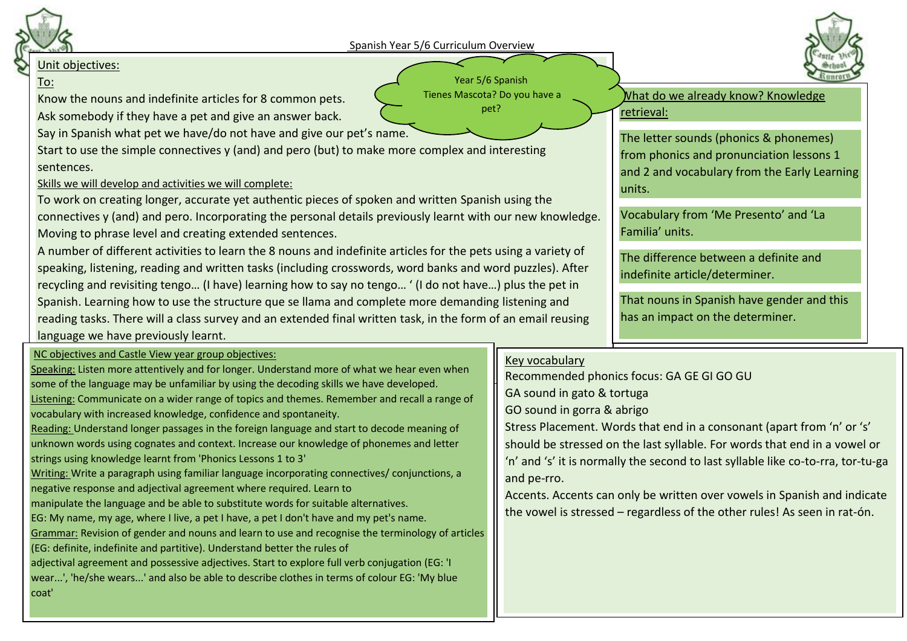

# Unit objectives:

## To:

Know the nouns and indefinite articles for 8 common pets. Ask somebody if they have a pet and give an answer back.

Say in Spanish what pet we have/do not have and give our pet's name.

Start to use the simple connectives y (and) and pero (but) to make more complex and interesting sentences.

# Skills we will develop and activities we will complete:

To work on creating longer, accurate yet authentic pieces of spoken and written Spanish using the connectives y (and) and pero. Incorporating the personal details previously learnt with our new knowledge. Moving to phrase level and creating extended sentences.

A number of different activities to learn the 8 nouns and indefinite articles for the pets using a variety of speaking, listening, reading and written tasks (including crosswords, word banks and word puzzles). After recycling and revisiting tengo… (I have) learning how to say no tengo… ' (I do not have…) plus the pet in Spanish. Learning how to use the structure que se llama and complete more demanding listening and reading tasks. There will a class survey and an extended final written task, in the form of an email reusing language we have previously learnt.

### NC objectives and Castle View year group objectives:

Speaking: Listen more attentively and for longer. Understand more of what we hear even when some of the language may be unfamiliar by using the decoding skills we have developed. Listening: Communicate on a wider range of topics and themes. Remember and recall a range of vocabulary with increased knowledge, confidence and spontaneity. Reading: Understand longer passages in the foreign language and start to decode meaning of unknown words using cognates and context. Increase our knowledge of phonemes and letter strings using knowledge learnt from 'Phonics Lessons 1 to 3' Writing: Write a paragraph using familiar language incorporating connectives/ conjunctions, a negative response and adjectival agreement where required. Learn to manipulate the language and be able to substitute words for suitable alternatives. EG: My name, my age, where I live, a pet I have, a pet I don't have and my pet's name.

Grammar: Revision of gender and nouns and learn to use and recognise the terminology of articles

(EG: definite, indefinite and partitive). Understand better the rules of

adjectival agreement and possessive adjectives. Start to explore full verb conjugation (EG: 'I wear...', 'he/she wears...' and also be able to describe clothes in terms of colour EG: 'My blue coat'

#### Year 5/6 Spanish Tienes Mascota? Do you have a pet?

What do we already know? Knowledge retrieval:

> The letter sounds (phonics & phonemes) from phonics and pronunciation lessons 1 and 2 and vocabulary from the Early Learning units.

Vocabulary from 'Me Presento' and 'La Familia' units.

The difference between a definite and indefinite article/determiner.

That nouns in Spanish have gender and this has an impact on the determiner.

### Key vocabulary

Recommended phonics focus: GA GE GI GO GU GA sound in gato & tortuga GO sound in gorra & abrigo Stress Placement. Words that end in a consonant (apart from 'n' or 's' should be stressed on the last syllable. For words that end in a vowel or 'n' and 's' it is normally the second to last syllable like co-to-rra, tor-tu-ga and pe-rro.

Accents. Accents can only be written over vowels in Spanish and indicate the vowel is stressed – regardless of the other rules! As seen in rat-ón.